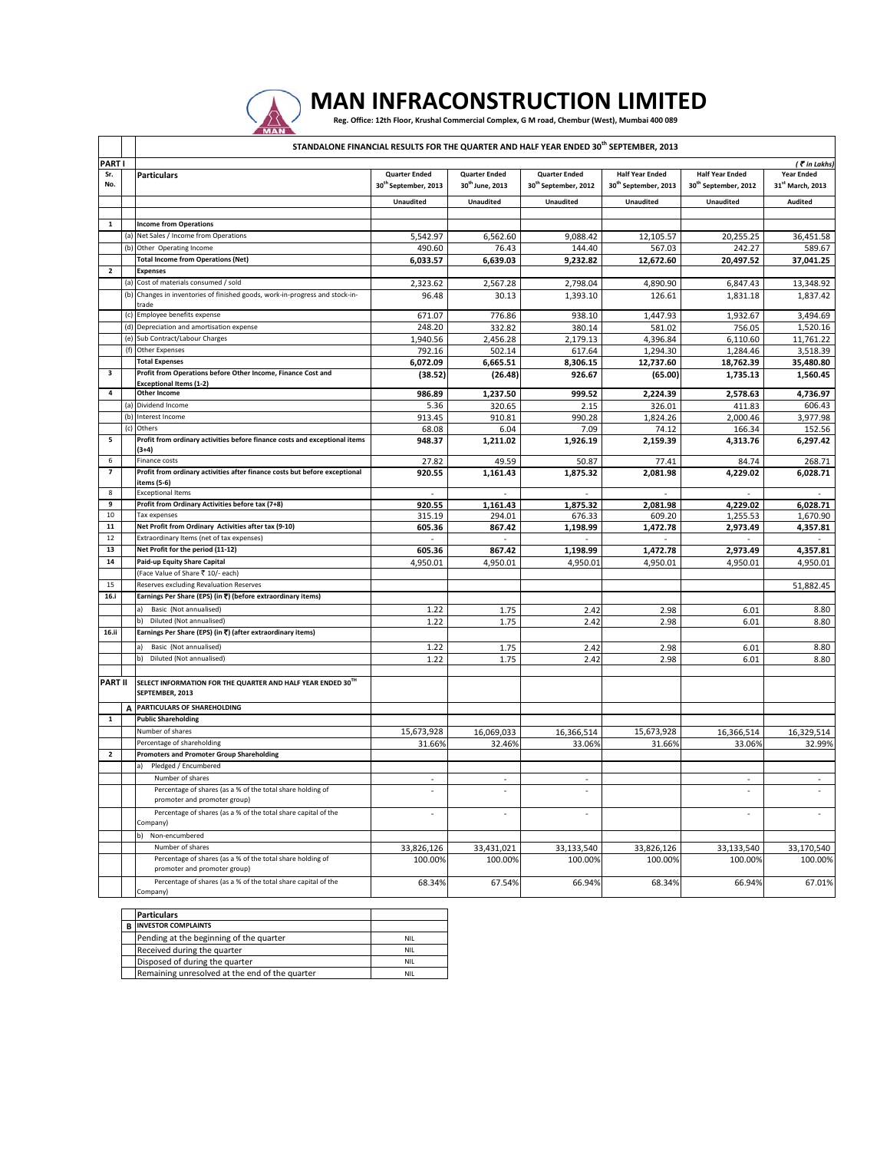

## MAN INFRACONSTRUCTION LIMITED

|                          |     | STANDALONE FINANCIAL RESULTS FOR THE QUARTER AND HALF YEAR ENDED 30 <sup>th</sup> SEPTEMBER, 2013 |                                              |                                                     |                                                          |                                                            |                                                            |                                                   |  |  |
|--------------------------|-----|---------------------------------------------------------------------------------------------------|----------------------------------------------|-----------------------------------------------------|----------------------------------------------------------|------------------------------------------------------------|------------------------------------------------------------|---------------------------------------------------|--|--|
| PART I                   |     |                                                                                                   |                                              |                                                     |                                                          |                                                            |                                                            | ( Tin Lakhs)                                      |  |  |
| Sr.<br>No.               |     | <b>Particulars</b>                                                                                | <b>Quarter Ended</b><br>30th September, 2013 | <b>Quarter Ended</b><br>30 <sup>th</sup> June, 2013 | <b>Quarter Ended</b><br>30 <sup>th</sup> September, 2012 | <b>Half Year Ended</b><br>30 <sup>th</sup> September, 2013 | <b>Half Year Ended</b><br>30 <sup>th</sup> September, 2012 | <b>Year Ended</b><br>31 <sup>st</sup> March, 2013 |  |  |
|                          |     |                                                                                                   | Unaudited                                    | <b>Unaudited</b>                                    | <b>Unaudited</b>                                         | <b>Unaudited</b>                                           | <b>Unaudited</b>                                           | Audited                                           |  |  |
|                          |     |                                                                                                   |                                              |                                                     |                                                          |                                                            |                                                            |                                                   |  |  |
| $\mathbf 1$              |     | <b>Income from Operations</b>                                                                     |                                              |                                                     |                                                          |                                                            |                                                            |                                                   |  |  |
|                          | (a) | Net Sales / Income from Operations                                                                | 5,542.97                                     | 6,562.60                                            | 9,088.42                                                 | 12,105.57                                                  | 20,255.25                                                  | 36,451.58                                         |  |  |
|                          |     | (b) Other Operating Income                                                                        | 490.60                                       | 76.43                                               | 144.40                                                   | 567.03                                                     | 242.27                                                     | 589.67                                            |  |  |
|                          |     | <b>Total Income from Operations (Net)</b>                                                         | 6,033.57                                     | 6,639.03                                            | 9,232.82                                                 | 12,672.60                                                  | 20,497.52                                                  | 37,041.25                                         |  |  |
| $\overline{2}$           |     | <b>Expenses</b>                                                                                   |                                              |                                                     |                                                          |                                                            |                                                            |                                                   |  |  |
|                          | (a) | Cost of materials consumed / sold                                                                 | 2,323.62                                     | 2,567.28                                            | 2,798.04                                                 | 4,890.90                                                   | 6,847.43                                                   | 13,348.92                                         |  |  |
|                          | (b) | Changes in inventories of finished goods, work-in-progress and stock-in-<br>trade                 | 96.48                                        | 30.13                                               | 1,393.10                                                 | 126.61                                                     | 1,831.18                                                   | 1,837.42                                          |  |  |
|                          | (c) | Employee benefits expense                                                                         | 671.07                                       | 776.86                                              | 938.10                                                   | 1,447.93                                                   | 1,932.67                                                   | 3,494.69                                          |  |  |
|                          |     | (d) Depreciation and amortisation expense                                                         | 248.20                                       | 332.82                                              | 380.14                                                   | 581.02                                                     | 756.05                                                     | 1,520.16                                          |  |  |
|                          |     | (e) Sub Contract/Labour Charges                                                                   | 1,940.56                                     | 2,456.28                                            | 2,179.13                                                 | 4,396.84                                                   | 6,110.60                                                   | 11,761.22                                         |  |  |
|                          | (f) | <b>Other Expenses</b><br><b>Total Expenses</b>                                                    | 792.16                                       | 502.14                                              | 617.64                                                   | 1,294.30                                                   | 1,284.46                                                   | 3,518.39                                          |  |  |
| 3                        |     | Profit from Operations before Other Income, Finance Cost and                                      | 6,072.09                                     | 6,665.51                                            | 8,306.15                                                 | 12,737.60                                                  | 18,762.39                                                  | 35,480.80                                         |  |  |
|                          |     | <b>Exceptional Items (1-2)</b>                                                                    | (38.52)                                      | (26.48)                                             | 926.67                                                   | (65.00)                                                    | 1,735.13                                                   | 1,560.45                                          |  |  |
| 4                        |     | <b>Other Income</b>                                                                               | 986.89                                       | 1,237.50                                            | 999.52                                                   | 2,224.39                                                   | 2,578.63                                                   | 4,736.97                                          |  |  |
|                          |     | (a) Dividend Income                                                                               | 5.36                                         | 320.65                                              | 2.15                                                     | 326.01                                                     | 411.83                                                     | 606.43                                            |  |  |
|                          |     | (b) Interest Income                                                                               | 913.45                                       | 910.81                                              | 990.28                                                   | 1,824.26                                                   | 2,000.46                                                   | 3,977.98                                          |  |  |
|                          | (c) | Others                                                                                            | 68.08                                        | 6.04                                                | 7.09                                                     | 74.12                                                      | 166.34                                                     | 152.56                                            |  |  |
| 5                        |     | Profit from ordinary activities before finance costs and exceptional items<br>$(3+4)$             | 948.37                                       | 1,211.02                                            | 1,926.19                                                 | 2,159.39                                                   | 4,313.76                                                   | 6,297.42                                          |  |  |
| 6                        |     | Finance costs                                                                                     | 27.82                                        | 49.59                                               | 50.87                                                    | 77.41                                                      | 84.74                                                      | 268.71                                            |  |  |
| $\overline{\phantom{a}}$ |     | Profit from ordinary activities after finance costs but before exceptional<br>items (5-6)         | 920.55                                       | 1,161.43                                            | 1,875.32                                                 | 2,081.98                                                   | 4,229.02                                                   | 6,028.71                                          |  |  |
| 8                        |     | <b>Exceptional Items</b>                                                                          | ÷.                                           | ÷.                                                  |                                                          |                                                            |                                                            |                                                   |  |  |
| 9                        |     | Profit from Ordinary Activities before tax (7+8)                                                  | 920.55                                       | 1.161.43                                            | 1.875.32                                                 | 2.081.98                                                   | 4,229.02                                                   | 6.028.71                                          |  |  |
| 10                       |     | Tax expenses                                                                                      | 315.19                                       | 294.01                                              | 676.33                                                   | 609.20                                                     | 1,255.53                                                   | 1,670.90                                          |  |  |
| 11<br>12                 |     | Net Profit from Ordinary Activities after tax (9-10)                                              | 605.36                                       | 867.42                                              | 1,198.99                                                 | 1,472.78                                                   | 2,973.49                                                   | 4,357.81                                          |  |  |
| 13                       |     | Extraordinary Items (net of tax expenses)<br>Net Profit for the period (11-12)                    |                                              | $\sim$                                              | $\sim$<br>1,198.99                                       | $\sim$<br>1,472.78                                         | 2,973.49                                                   | 4,357.81                                          |  |  |
| 14                       |     | Paid-up Equity Share Capital                                                                      | 605.36                                       | 867.42                                              |                                                          |                                                            |                                                            |                                                   |  |  |
|                          |     | (Face Value of Share ₹ 10/- each)                                                                 | 4,950.01                                     | 4,950.01                                            | 4,950.01                                                 | 4,950.01                                                   | 4,950.01                                                   | 4,950.01                                          |  |  |
| 15                       |     | Reserves excluding Revaluation Reserves                                                           |                                              |                                                     |                                                          |                                                            |                                                            | 51,882.45                                         |  |  |
| 16.i                     |     | Earnings Per Share (EPS) (in ₹) (before extraordinary items)                                      |                                              |                                                     |                                                          |                                                            |                                                            |                                                   |  |  |
|                          |     | Basic (Not annualised)                                                                            | 1.22                                         | 1.75                                                | 2.42                                                     | 2.98                                                       | 6.01                                                       | 8.80                                              |  |  |
|                          |     | Diluted (Not annualised)                                                                          | 1.22                                         | 1.75                                                | 2.42                                                     | 2.98                                                       | 6.01                                                       | 8.80                                              |  |  |
| 16.ii                    |     | Earnings Per Share (EPS) (in ₹) (after extraordinary items)                                       |                                              |                                                     |                                                          |                                                            |                                                            |                                                   |  |  |
|                          |     | Basic (Not annualised)                                                                            | 1.22                                         | 1.75                                                | 2.42                                                     | 2.98                                                       | 6.01                                                       | 8.80                                              |  |  |
|                          |     | b) Diluted (Not annualised)                                                                       | 1.22                                         | 1.75                                                | 2.42                                                     | 2.98                                                       | 6.01                                                       | 8.80                                              |  |  |
|                          |     |                                                                                                   |                                              |                                                     |                                                          |                                                            |                                                            |                                                   |  |  |
| PART II                  |     | SELECT INFORMATION FOR THE QUARTER AND HALF YEAR ENDED 30TH<br>SEPTEMBER, 2013                    |                                              |                                                     |                                                          |                                                            |                                                            |                                                   |  |  |
|                          | A   | PARTICULARS OF SHAREHOLDING                                                                       |                                              |                                                     |                                                          |                                                            |                                                            |                                                   |  |  |
| $\mathbf{1}$             |     | <b>Public Shareholding</b>                                                                        |                                              |                                                     |                                                          |                                                            |                                                            |                                                   |  |  |
|                          |     | Number of shares                                                                                  | 15,673,928                                   | 16,069,033                                          | 16,366,514                                               | 15,673,928                                                 | 16,366,514                                                 | 16,329,514                                        |  |  |
|                          |     | Percentage of shareholding                                                                        | 31.66%                                       | 32.46%                                              | 33.06%                                                   | 31.66%                                                     | 33.06%                                                     | 32.99%                                            |  |  |
| $\overline{2}$           |     | <b>Promoters and Promoter Group Shareholding</b>                                                  |                                              |                                                     |                                                          |                                                            |                                                            |                                                   |  |  |
|                          |     | Pledged / Encumbered                                                                              |                                              |                                                     |                                                          |                                                            |                                                            |                                                   |  |  |
|                          |     | Number of shares                                                                                  |                                              | $\sim$                                              |                                                          |                                                            |                                                            |                                                   |  |  |
|                          |     | Percentage of shares (as a % of the total share holding of<br>promoter and promoter group)        |                                              |                                                     |                                                          |                                                            |                                                            |                                                   |  |  |
|                          |     | Percentage of shares (as a % of the total share capital of the                                    | ÷,                                           |                                                     |                                                          |                                                            |                                                            |                                                   |  |  |
|                          |     | Company)                                                                                          |                                              |                                                     |                                                          |                                                            |                                                            |                                                   |  |  |
|                          |     | b) Non-encumbered                                                                                 |                                              |                                                     |                                                          |                                                            |                                                            |                                                   |  |  |
|                          |     | Number of shares                                                                                  | 33,826,126                                   | 33,431,021                                          | 33,133,540                                               | 33,826,126                                                 | 33,133,540                                                 | 33,170,540                                        |  |  |
|                          |     | Percentage of shares (as a % of the total share holding of<br>promoter and promoter group)        | 100.00%                                      | 100.00%                                             | 100.00%                                                  | 100.00%                                                    | 100.00%                                                    | 100.00%                                           |  |  |
|                          |     | Percentage of shares (as a % of the total share capital of the<br>Company)                        | 68.34%                                       | 67.54%                                              | 66.94%                                                   | 68.34%                                                     | 66.94%                                                     | 67.01%                                            |  |  |

| <b>Particulars</b>                             |            |  |
|------------------------------------------------|------------|--|
| <b>INVESTOR COMPLAINTS</b>                     |            |  |
| Pending at the beginning of the quarter        | <b>NIL</b> |  |
| Received during the quarter                    | <b>NIL</b> |  |
| Disposed of during the quarter                 | <b>NIL</b> |  |
| Remaining unresolved at the end of the quarter | NIL        |  |